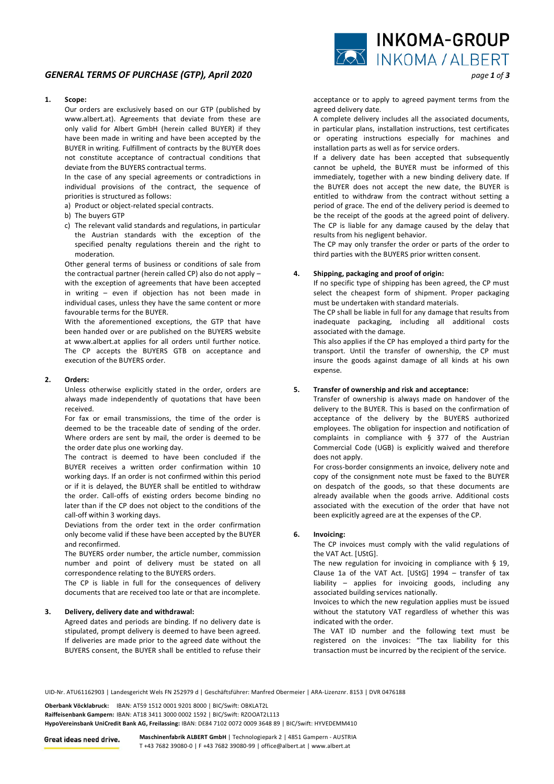# *GENERAL TERMS OF PURCHASE (GTP), April 2020 page 1 of 3*

### **1. Scope:**

 Our orders are exclusively based on our GTP (published by www.albert.at). Agreements that deviate from these are only valid for Albert GmbH (herein called BUYER) if they have been made in writing and have been accepted by the BUYER in writing. Fulfillment of contracts by the BUYER does not constitute acceptance of contractual conditions that deviate from the BUYERS contractual terms.

 In the case of any special agreements or contradictions in individual provisions of the contract, the sequence of priorities is structured as follows:

- a) Product or object-related special contracts.
- b) The buyers GTP
- c) The relevant valid standards and regulations, in particular the Austrian standards with the exception of the specified penalty regulations therein and the right to moderation.

 Other general terms of business or conditions of sale from the contractual partner (herein called CP) also do not apply – with the exception of agreements that have been accepted in writing – even if objection has not been made in individual cases, unless they have the same content or more favourable terms for the BUYER.

 With the aforementioned exceptions, the GTP that have been handed over or are published on the BUYERS website at www.albert.at applies for all orders until further notice. The CP accepts the BUYERS GTB on acceptance and execution of the BUYERS order.

## **2. Orders:**

 Unless otherwise explicitly stated in the order, orders are always made independently of quotations that have been received.

 For fax or email transmissions, the time of the order is deemed to be the traceable date of sending of the order. Where orders are sent by mail, the order is deemed to be the order date plus one working day.

 The contract is deemed to have been concluded if the BUYER receives a written order confirmation within 10 working days. If an order is not confirmed within this period or if it is delayed, the BUYER shall be entitled to withdraw the order. Call-offs of existing orders become binding no later than if the CP does not object to the conditions of the call-off within 3 working days.

 Deviations from the order text in the order confirmation only become valid if these have been accepted by the BUYER and reconfirmed.

 The BUYERS order number, the article number, commission number and point of delivery must be stated on all correspondence relating to the BUYERS orders.

 The CP is liable in full for the consequences of delivery documents that are received too late or that are incomplete.

#### **3. Delivery, delivery date and withdrawal:**

 Agreed dates and periods are binding. If no delivery date is stipulated, prompt delivery is deemed to have been agreed. If deliveries are made prior to the agreed date without the BUYERS consent, the BUYER shall be entitled to refuse their acceptance or to apply to agreed payment terms from the agreed delivery date.

 A complete delivery includes all the associated documents, in particular plans, installation instructions, test certificates or operating instructions especially for machines and installation parts as well as for service orders.

 If a delivery date has been accepted that subsequently cannot be upheld, the BUYER must be informed of this immediately, together with a new binding delivery date. If the BUYER does not accept the new date, the BUYER is entitled to withdraw from the contract without setting a period of grace. The end of the delivery period is deemed to be the receipt of the goods at the agreed point of delivery. The CP is liable for any damage caused by the delay that results from his negligent behavior.

 The CP may only transfer the order or parts of the order to third parties with the BUYERS prior written consent.

### **4. Shipping, packaging and proof of origin:**

 If no specific type of shipping has been agreed, the CP must select the cheapest form of shipment. Proper packaging must be undertaken with standard materials.

 The CP shall be liable in full for any damage that results from inadequate packaging, including all additional costs associated with the damage.

 This also applies if the CP has employed a third party for the transport. Until the transfer of ownership, the CP must insure the goods against damage of all kinds at his own expense.

## **5. Transfer of ownership and risk and acceptance:**

 Transfer of ownership is always made on handover of the delivery to the BUYER. This is based on the confirmation of acceptance of the delivery by the BUYERS authorized employees. The obligation for inspection and notification of complaints in compliance with § 377 of the Austrian Commercial Code (UGB) is explicitly waived and therefore does not apply.

 For cross-border consignments an invoice, delivery note and copy of the consignment note must be faxed to the BUYER on despatch of the goods, so that these documents are already available when the goods arrive. Additional costs associated with the execution of the order that have not been explicitly agreed are at the expenses of the CP.

#### **6. Invoicing:**

 The CP invoices must comply with the valid regulations of the VAT Act. [UStG].

 The new regulation for invoicing in compliance with § 19, Clause 1a of the VAT Act. [UStG] 1994 – transfer of tax liability – applies for invoicing goods, including any associated building services nationally.

 Invoices to which the new regulation applies must be issued without the statutory VAT regardless of whether this was indicated with the order.

 The VAT ID number and the following text must be registered on the invoices: "The tax liability for this transaction must be incurred by the recipient of the service.

UID-Nr. ATU61162903 | Landesgericht Wels FN 252979 d | Geschäftsführer: Manfred Obermeier | ARA-Lizenznr. 8153 | DVR 0476188

**Oberbank Vöcklabruck:** IBAN: AT59 1512 0001 9201 8000 | BIC/Swift: OBKLAT2L **Raiffeisenbank Gampern:** IBAN: AT18 3411 3000 0002 1592 | BIC/Swift: RZOOAT2L113 **HypoVereinsbank UniCredit Bank AG, Freilassing:** IBAN: DE84 7102 0072 0009 3648 89 | BIC/Swift: HYVEDEMM410

**Maschinenfabrik ALBERT GmbH** | Technologiepark 2 | 4851 Gampern - AUSTRIA Great ideas need drive. T +43 7682 39080-0 | F +43 7682 39080-99 | office@albert.at | www.albert.at

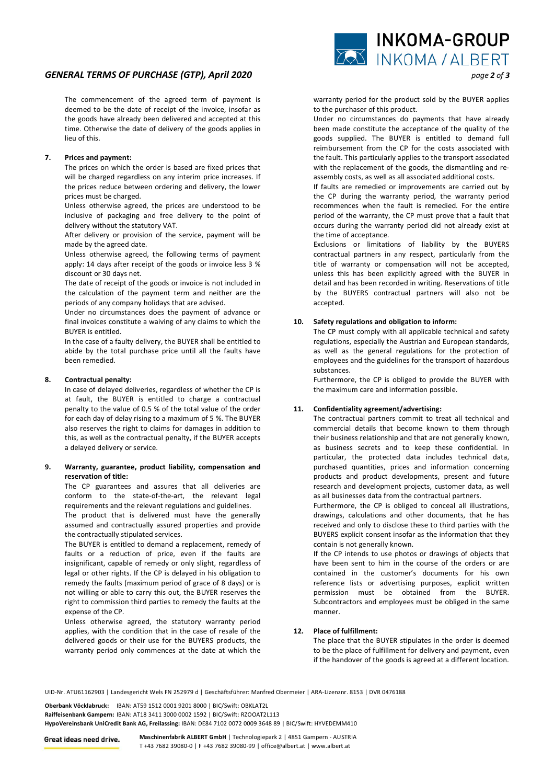# *GENERAL TERMS OF PURCHASE (GTP), April 2020 page 2 of 3*

 The commencement of the agreed term of payment is deemed to be the date of receipt of the invoice, insofar as the goods have already been delivered and accepted at this time. Otherwise the date of delivery of the goods applies in lieu of this.

## **7. Prices and payment:**

 The prices on which the order is based are fixed prices that will be charged regardless on any interim price increases. If the prices reduce between ordering and delivery, the lower prices must be charged.

 Unless otherwise agreed, the prices are understood to be inclusive of packaging and free delivery to the point of delivery without the statutory VAT.

 After delivery or provision of the service, payment will be made by the agreed date.

 Unless otherwise agreed, the following terms of payment apply: 14 days after receipt of the goods or invoice less 3 % discount or 30 days net.

 The date of receipt of the goods or invoice is not included in the calculation of the payment term and neither are the periods of any company holidays that are advised.

 Under no circumstances does the payment of advance or final invoices constitute a waiving of any claims to which the BUYER is entitled.

 In the case of a faulty delivery, the BUYER shall be entitled to abide by the total purchase price until all the faults have been remedied.

# **8. Contractual penalty:**

 In case of delayed deliveries, regardless of whether the CP is at fault, the BUYER is entitled to charge a contractual penalty to the value of 0.5 % of the total value of the order for each day of delay rising to a maximum of 5 %. The BUYER also reserves the right to claims for damages in addition to this, as well as the contractual penalty, if the BUYER accepts a delayed delivery or service.

## **9. Warranty, guarantee, product liability, compensation and reservation of title:**

 The CP guarantees and assures that all deliveries are conform to the state-of-the-art, the relevant legal requirements and the relevant regulations and guidelines.

 The product that is delivered must have the generally assumed and contractually assured properties and provide the contractually stipulated services.

 The BUYER is entitled to demand a replacement, remedy of faults or a reduction of price, even if the faults are insignificant, capable of remedy or only slight, regardless of legal or other rights. If the CP is delayed in his obligation to remedy the faults (maximum period of grace of 8 days) or is not willing or able to carry this out, the BUYER reserves the right to commission third parties to remedy the faults at the expense of the CP.

 Unless otherwise agreed, the statutory warranty period applies, with the condition that in the case of resale of the delivered goods or their use for the BUYERS products, the warranty period only commences at the date at which the



warranty period for the product sold by the BUYER applies to the purchaser of this product.

 Under no circumstances do payments that have already been made constitute the acceptance of the quality of the goods supplied. The BUYER is entitled to demand full reimbursement from the CP for the costs associated with the fault. This particularly applies to the transport associated with the replacement of the goods, the dismantling and reassembly costs, as well as all associated additional costs.

 If faults are remedied or improvements are carried out by the CP during the warranty period, the warranty period recommences when the fault is remedied. For the entire period of the warranty, the CP must prove that a fault that occurs during the warranty period did not already exist at the time of acceptance.

 Exclusions or limitations of liability by the BUYERS contractual partners in any respect, particularly from the title of warranty or compensation will not be accepted, unless this has been explicitly agreed with the BUYER in detail and has been recorded in writing. Reservations of title by the BUYERS contractual partners will also not be accepted.

# **10. Safety regulations and obligation to inform:**

 The CP must comply with all applicable technical and safety regulations, especially the Austrian and European standards, as well as the general regulations for the protection of employees and the guidelines for the transport of hazardous substances.

 Furthermore, the CP is obliged to provide the BUYER with the maximum care and information possible.

# **11. Confidentiality agreement/advertising:**

 The contractual partners commit to treat all technical and commercial details that become known to them through their business relationship and that are not generally known, as business secrets and to keep these confidential. In particular, the protected data includes technical data, purchased quantities, prices and information concerning products and product developments, present and future research and development projects, customer data, as well as all businesses data from the contractual partners.

 Furthermore, the CP is obliged to conceal all illustrations, drawings, calculations and other documents, that he has received and only to disclose these to third parties with the BUYERS explicit consent insofar as the information that they contain is not generally known.

 If the CP intends to use photos or drawings of objects that have been sent to him in the course of the orders or are contained in the customer's documents for his own reference lists or advertising purposes, explicit written permission must be obtained from the BUYER. Subcontractors and employees must be obliged in the same manner.

#### **12. Place of fulfillment:**

 The place that the BUYER stipulates in the order is deemed to be the place of fulfillment for delivery and payment, even if the handover of the goods is agreed at a different location.

UID-Nr. ATU61162903 | Landesgericht Wels FN 252979 d | Geschäftsführer: Manfred Obermeier | ARA-Lizenznr. 8153 | DVR 0476188

**Oberbank Vöcklabruck:** IBAN: AT59 1512 0001 9201 8000 | BIC/Swift: OBKLAT2L **Raiffeisenbank Gampern:** IBAN: AT18 3411 3000 0002 1592 | BIC/Swift: RZOOAT2L113 **HypoVereinsbank UniCredit Bank AG, Freilassing:** IBAN: DE84 7102 0072 0009 3648 89 | BIC/Swift: HYVEDEMM410

**Maschinenfabrik ALBERT GmbH** | Technologiepark 2 | 4851 Gampern - AUSTRIA Great ideas need drive. T +43 7682 39080-0 | F +43 7682 39080-99 | office@albert.at | www.albert.at